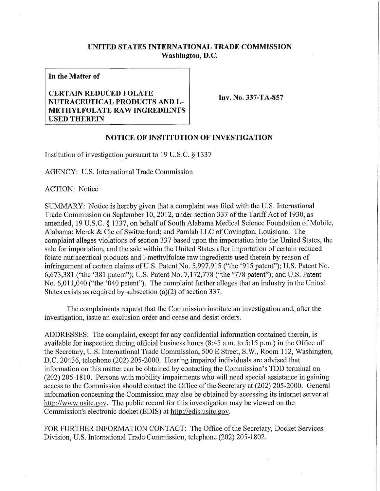## **UNITED STATES INTERNATIONAL TRADE COMMISSION Washington, D.C.**

**In the Matter of** 

## **CERTAIN REDUCED FOLATE NUTRACEUTICAL PRODUCTS AND L - METHYLFOLATE RAW INGREDIENTS USED THEREIN**

Inv. No. 337-TA-857

## **NOTICE OF INSTITUTION OF INVESTIGATION**

Institution of investigation pursuant to 19 U.S.C. § 1337

AGENCY: U.S. International Trade Commission

ACTION: Notice

SUMMARY: Notice is hereby given that a complaint was filed with the U.S. International Trade Commission on September 10, 2012, under section 337 of the Tariff Act of 1930, as amended, 19 U.S.C. § 1337, on behalf of South Alabama Medical Science Foundation of Mobile, Alabama; Merck & Cie of Switzerland; and Pamlab LLC of Covington, Louisiana. The complaint alleges violations of section 337 based upon the importation into the United States, the sale for importation, and the sale within the United States after importation of certain reduced folate nutraceutical products and 1-methylfolate raw ingredients used therein by reason of infringement of certain claims of U.S. Patent No. 5,997,915 ("the '915 patent"); U.S. Patent No. 6,673,381 ("the '381 patent"); U.S. Patent No. 7,172,778 ("the '778 patent"); and U.S. Patent No. 6,011,040 ("the '040 patent"). The complaint further alleges that an industry in the United States exists as required by subsection (a)(2) of section 337.

The complainants request that the Commission institute an investigation and, after the investigation, issue an exclusion order and cease and desist orders.

ADDRESSES: The complaint, except for any confidential information contained therein, is available for inspection during official business hours (8:45 a.m. to 5:15 p.m.) in the Office of the Secretary, U.S. International Trade Commission, 500 E Street, S.W., Room 112, Washington, D.C. 20436, telephone (202) 205-2000. Hearing impaired individuals are advised that information on this matter can be obtained by contacting the Commission's TDD terminal on (202) 205-1810. Persons with mobility impairments who will need special assistance in gaining access to the Commission should contact the Office of the Secretary at (202) 205-2000. General information concerning the Commission may also be obtained by accessing its internet server at http://www.usitc.gov. The public record for this investigation may be viewed on the Commission's electronic docket (EDIS) at http://edis.usitc.gov.

FOR FURTHER INFORMATION CONTACT: The Office of the Secretary, Docket Services Division, U.S. International Trade Commission, telephone (202) 205-1802.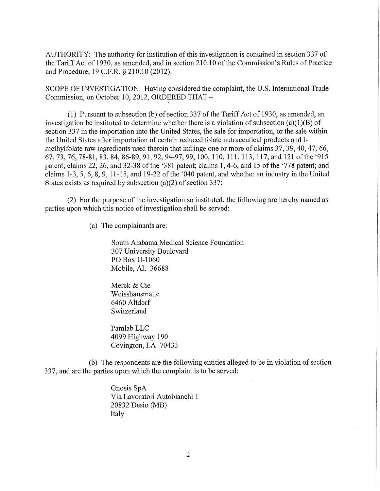AUTHORITY: The authority for institution of this investigation is contained in section 337 of the Tariff Act of 1930, as amended, and in section 210.10 of the Commission's Rules of Practice and Procedure, 19 C.F.R. § 210.10 (2012).

SCOPE OF INVESTIGATION: Having considered the complaint, the U.S. International Trade Commission, on October 10, 2012, ORDERED THAT -

(1) Pursuant to subsection (b) of section 337 of the Tariff Act of 1930, as amended, an investigation be instituted to determine whether there is a violation of subsection (a)(1)(B) of section 337 in the importation into the United States, the sale for importation, or the sale within the United States after importation of certain reduced folate nutraceutical products and 1 methylfolate raw ingredients used therein that infringe one or more of claims 37, 39, 40, 47, 66, 67, 73, 76, 78-81, 83, 84, 86-89, 91, 92, 94-97, 99, 100, 110, 111, 113, 117, and 121 ofthe '915 patent; claims 22, 26, and 32-38 of the '381 patent; claims 1, 4-6, and 15 of the '778 patent; and claims 1-3, 5, 6, 8, 9, 11-15, and 19-22 of the '040 patent, and whether an industry in the United States exists as required by subsection (a)(2) of section 337;

(2) For the purpose of the investigation so instituted, the following are hereby named as parties upon which this notice of investigation shall be served:

(a) The complainants are:

South Alabama Medical Science Foundation 307 University Boulevard PO Box U-1060 Mobile, AL 36688

Merck & Cie Weisshausmatte 6460 Altdorf Switzerland

Pamlab LLC 4099 Highway 190 Covington, LA 70433

(b) The respondents are the following entities alleged to be in violation of section 337, and are the parties upon which the complaint is to be served:

> Gnosis SpA Via Lavoratori Autobianchi 1 20832 Desio (MB) Italy